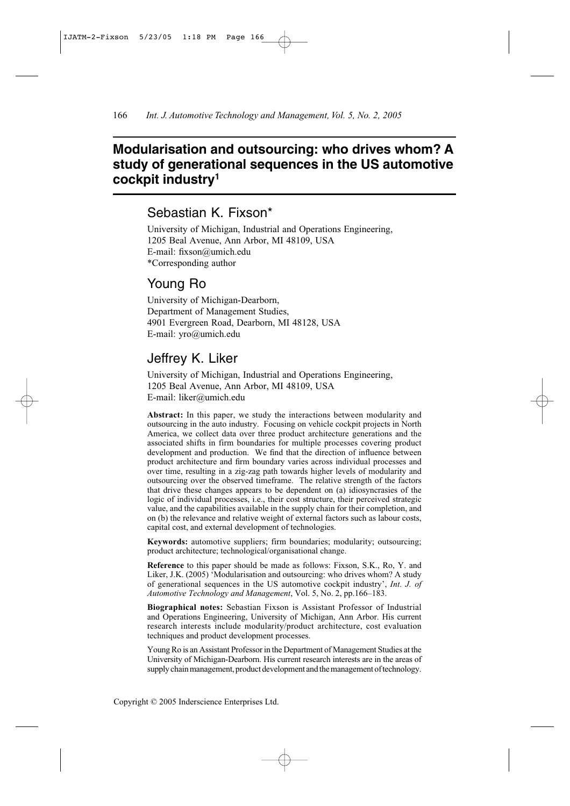166 *Int. J. Automotive Technology and Management, Vol. 5, No. 2, 2005* 

# **Modularisation and outsourcing: who drives whom? A study of generational sequences in the US automotive cockpit industry1**

## Sebastian K. Fixson\*

University of Michigan, Industrial and Operations Engineering, 1205 Beal Avenue, Ann Arbor, MI 48109, USA E-mail: fixson@umich.edu \*Corresponding author

### Young Ro

University of Michigan-Dearborn, Department of Management Studies, 4901 Evergreen Road, Dearborn, MI 48128, USA E-mail: yro@umich.edu

### Jeffrey K. Liker

University of Michigan, Industrial and Operations Engineering, 1205 Beal Avenue, Ann Arbor, MI 48109, USA E-mail: liker@umich.edu

**Abstract:** In this paper, we study the interactions between modularity and outsourcing in the auto industry. Focusing on vehicle cockpit projects in North America, we collect data over three product architecture generations and the associated shifts in firm boundaries for multiple processes covering product development and production. We find that the direction of influence between product architecture and firm boundary varies across individual processes and over time, resulting in a zig-zag path towards higher levels of modularity and outsourcing over the observed timeframe. The relative strength of the factors that drive these changes appears to be dependent on (a) idiosyncrasies of the logic of individual processes, i.e., their cost structure, their perceived strategic value, and the capabilities available in the supply chain for their completion, and on (b) the relevance and relative weight of external factors such as labour costs, capital cost, and external development of technologies.

**Keywords:** automotive suppliers; firm boundaries; modularity; outsourcing; product architecture; technological/organisational change.

**Reference** to this paper should be made as follows: Fixson, S.K., Ro, Y. and Liker, J.K. (2005) 'Modularisation and outsourcing: who drives whom? A study of generational sequences in the US automotive cockpit industry', *Int. J. of Automotive Technology and Management*, Vol. 5, No. 2, pp.166–183.

**Biographical notes:** Sebastian Fixson is Assistant Professor of Industrial and Operations Engineering, University of Michigan, Ann Arbor. His current research interests include modularity/product architecture, cost evaluation techniques and product development processes.

Young Ro is an Assistant Professor in the Department of Management Studies at the University of Michigan-Dearborn. His current research interests are in the areas of supply chain management, product development and the management of technology.

Copyright © 2005 Inderscience Enterprises Ltd.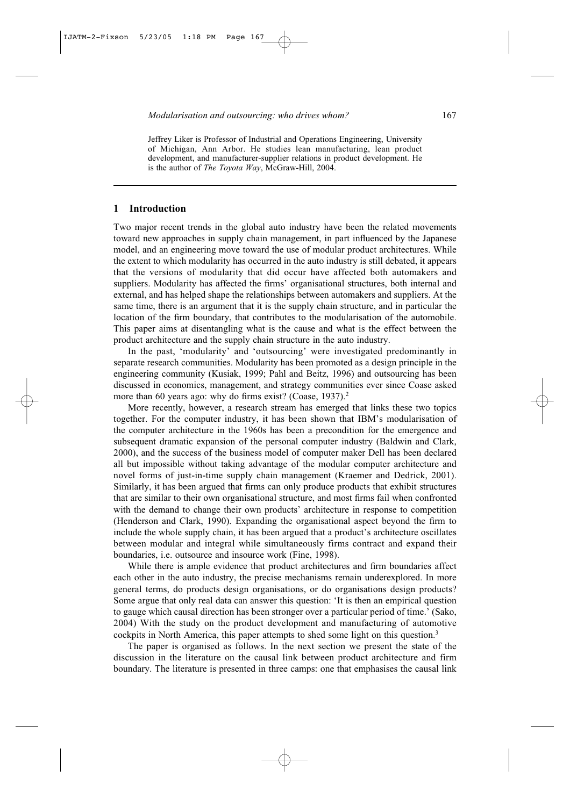Jeffrey Liker is Professor of Industrial and Operations Engineering, University of Michigan, Ann Arbor. He studies lean manufacturing, lean product development, and manufacturer-supplier relations in product development. He is the author of *The Toyota Way*, McGraw-Hill, 2004.

#### **1 Introduction**

Two major recent trends in the global auto industry have been the related movements toward new approaches in supply chain management, in part influenced by the Japanese model, and an engineering move toward the use of modular product architectures. While the extent to which modularity has occurred in the auto industry is still debated, it appears that the versions of modularity that did occur have affected both automakers and suppliers. Modularity has affected the firms' organisational structures, both internal and external, and has helped shape the relationships between automakers and suppliers. At the same time, there is an argument that it is the supply chain structure, and in particular the location of the firm boundary, that contributes to the modularisation of the automobile. This paper aims at disentangling what is the cause and what is the effect between the product architecture and the supply chain structure in the auto industry.

In the past, 'modularity' and 'outsourcing' were investigated predominantly in separate research communities. Modularity has been promoted as a design principle in the engineering community (Kusiak, 1999; Pahl and Beitz, 1996) and outsourcing has been discussed in economics, management, and strategy communities ever since Coase asked more than 60 years ago: why do firms exist? (Coase, 1937).<sup>2</sup>

More recently, however, a research stream has emerged that links these two topics together. For the computer industry, it has been shown that IBM's modularisation of the computer architecture in the 1960s has been a precondition for the emergence and subsequent dramatic expansion of the personal computer industry (Baldwin and Clark, 2000), and the success of the business model of computer maker Dell has been declared all but impossible without taking advantage of the modular computer architecture and novel forms of just-in-time supply chain management (Kraemer and Dedrick, 2001). Similarly, it has been argued that firms can only produce products that exhibit structures that are similar to their own organisational structure, and most firms fail when confronted with the demand to change their own products' architecture in response to competition (Henderson and Clark, 1990). Expanding the organisational aspect beyond the firm to include the whole supply chain, it has been argued that a product's architecture oscillates between modular and integral while simultaneously firms contract and expand their boundaries, i.e. outsource and insource work (Fine, 1998).

While there is ample evidence that product architectures and firm boundaries affect each other in the auto industry, the precise mechanisms remain underexplored. In more general terms, do products design organisations, or do organisations design products? Some argue that only real data can answer this question: 'It is then an empirical question to gauge which causal direction has been stronger over a particular period of time.' (Sako, 2004) With the study on the product development and manufacturing of automotive cockpits in North America, this paper attempts to shed some light on this question.<sup>3</sup>

The paper is organised as follows. In the next section we present the state of the discussion in the literature on the causal link between product architecture and firm boundary. The literature is presented in three camps: one that emphasises the causal link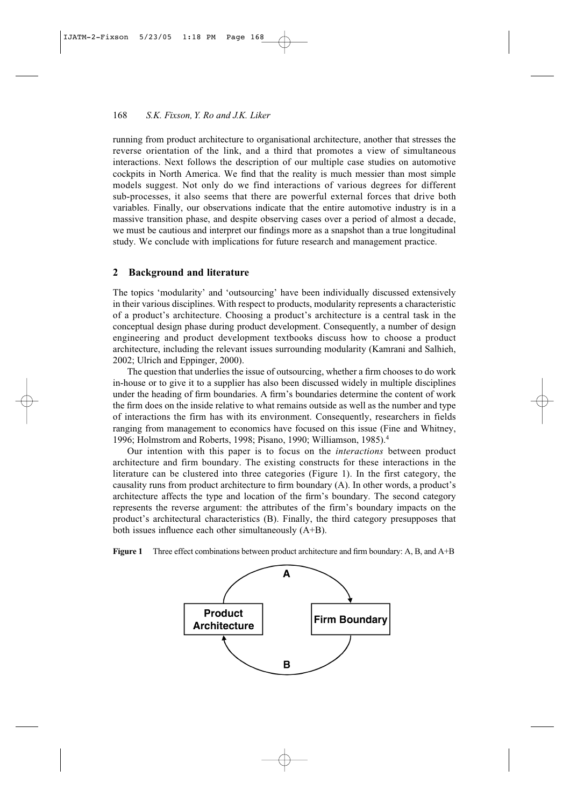running from product architecture to organisational architecture, another that stresses the reverse orientation of the link, and a third that promotes a view of simultaneous interactions. Next follows the description of our multiple case studies on automotive cockpits in North America. We find that the reality is much messier than most simple models suggest. Not only do we find interactions of various degrees for different sub-processes, it also seems that there are powerful external forces that drive both variables. Finally, our observations indicate that the entire automotive industry is in a massive transition phase, and despite observing cases over a period of almost a decade, we must be cautious and interpret our findings more as a snapshot than a true longitudinal study. We conclude with implications for future research and management practice.

#### **2 Background and literature**

The topics 'modularity' and 'outsourcing' have been individually discussed extensively in their various disciplines. With respect to products, modularity represents a characteristic of a product's architecture. Choosing a product's architecture is a central task in the conceptual design phase during product development. Consequently, a number of design engineering and product development textbooks discuss how to choose a product architecture, including the relevant issues surrounding modularity (Kamrani and Salhieh, 2002; Ulrich and Eppinger, 2000).

The question that underlies the issue of outsourcing, whether a firm chooses to do work in-house or to give it to a supplier has also been discussed widely in multiple disciplines under the heading of firm boundaries. A firm's boundaries determine the content of work the firm does on the inside relative to what remains outside as well as the number and type of interactions the firm has with its environment. Consequently, researchers in fields ranging from management to economics have focused on this issue (Fine and Whitney, 1996; Holmstrom and Roberts, 1998; Pisano, 1990; Williamson, 1985).4

Our intention with this paper is to focus on the *interactions* between product architecture and firm boundary. The existing constructs for these interactions in the literature can be clustered into three categories (Figure 1). In the first category, the causality runs from product architecture to firm boundary (A). In other words, a product's architecture affects the type and location of the firm's boundary. The second category represents the reverse argument: the attributes of the firm's boundary impacts on the product's architectural characteristics (B). Finally, the third category presupposes that both issues influence each other simultaneously (A+B).



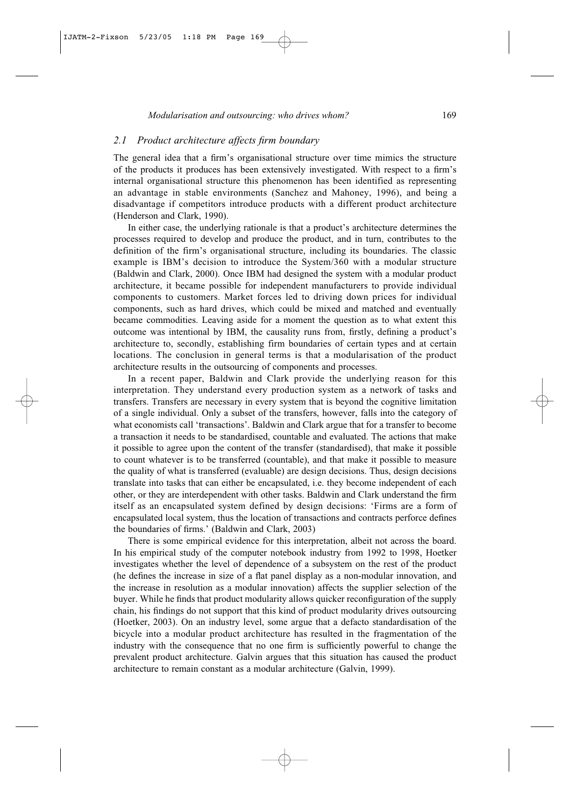### *2.1 Product architecture affects firm boundary*

IJATM-2-Fixson 5/23/05 1:18 PM Page 169

The general idea that a firm's organisational structure over time mimics the structure of the products it produces has been extensively investigated. With respect to a firm's internal organisational structure this phenomenon has been identified as representing an advantage in stable environments (Sanchez and Mahoney, 1996), and being a disadvantage if competitors introduce products with a different product architecture (Henderson and Clark, 1990).

In either case, the underlying rationale is that a product's architecture determines the processes required to develop and produce the product, and in turn, contributes to the definition of the firm's organisational structure, including its boundaries. The classic example is IBM's decision to introduce the System/360 with a modular structure (Baldwin and Clark, 2000). Once IBM had designed the system with a modular product architecture, it became possible for independent manufacturers to provide individual components to customers. Market forces led to driving down prices for individual components, such as hard drives, which could be mixed and matched and eventually became commodities. Leaving aside for a moment the question as to what extent this outcome was intentional by IBM, the causality runs from, firstly, defining a product's architecture to, secondly, establishing firm boundaries of certain types and at certain locations. The conclusion in general terms is that a modularisation of the product architecture results in the outsourcing of components and processes.

In a recent paper, Baldwin and Clark provide the underlying reason for this interpretation. They understand every production system as a network of tasks and transfers. Transfers are necessary in every system that is beyond the cognitive limitation of a single individual. Only a subset of the transfers, however, falls into the category of what economists call 'transactions'. Baldwin and Clark argue that for a transfer to become a transaction it needs to be standardised, countable and evaluated. The actions that make it possible to agree upon the content of the transfer (standardised), that make it possible to count whatever is to be transferred (countable), and that make it possible to measure the quality of what is transferred (evaluable) are design decisions. Thus, design decisions translate into tasks that can either be encapsulated, i.e. they become independent of each other, or they are interdependent with other tasks. Baldwin and Clark understand the firm itself as an encapsulated system defined by design decisions: 'Firms are a form of encapsulated local system, thus the location of transactions and contracts perforce defines the boundaries of firms.' (Baldwin and Clark, 2003)

There is some empirical evidence for this interpretation, albeit not across the board. In his empirical study of the computer notebook industry from 1992 to 1998, Hoetker investigates whether the level of dependence of a subsystem on the rest of the product (he defines the increase in size of a flat panel display as a non-modular innovation, and the increase in resolution as a modular innovation) affects the supplier selection of the buyer. While he finds that product modularity allows quicker reconfiguration of the supply chain, his findings do not support that this kind of product modularity drives outsourcing (Hoetker, 2003). On an industry level, some argue that a defacto standardisation of the bicycle into a modular product architecture has resulted in the fragmentation of the industry with the consequence that no one firm is sufficiently powerful to change the prevalent product architecture. Galvin argues that this situation has caused the product architecture to remain constant as a modular architecture (Galvin, 1999).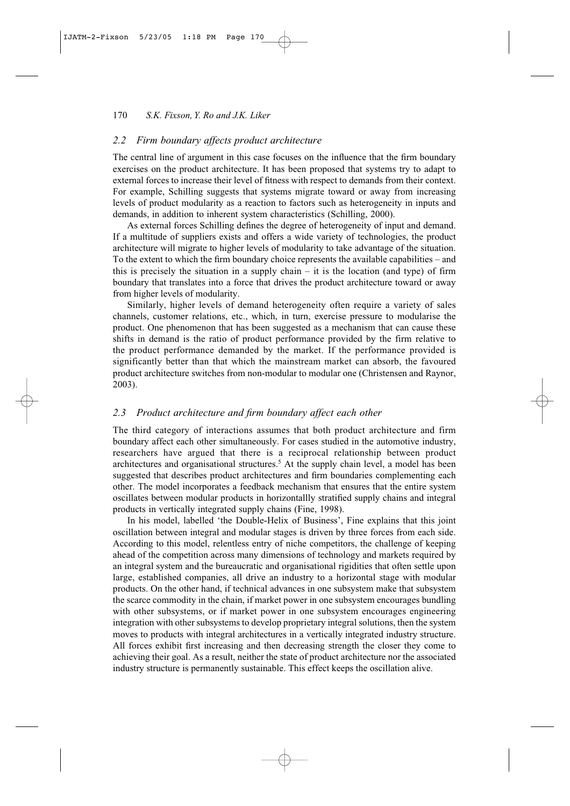#### *2.2 Firm boundary affects product architecture*

The central line of argument in this case focuses on the influence that the firm boundary exercises on the product architecture. It has been proposed that systems try to adapt to external forces to increase their level of fitness with respect to demands from their context. For example, Schilling suggests that systems migrate toward or away from increasing levels of product modularity as a reaction to factors such as heterogeneity in inputs and demands, in addition to inherent system characteristics (Schilling, 2000).

As external forces Schilling defines the degree of heterogeneity of input and demand. If a multitude of suppliers exists and offers a wide variety of technologies, the product architecture will migrate to higher levels of modularity to take advantage of the situation. To the extent to which the firm boundary choice represents the available capabilities – and this is precisely the situation in a supply chain  $-$  it is the location (and type) of firm boundary that translates into a force that drives the product architecture toward or away from higher levels of modularity.

Similarly, higher levels of demand heterogeneity often require a variety of sales channels, customer relations, etc., which, in turn, exercise pressure to modularise the product. One phenomenon that has been suggested as a mechanism that can cause these shifts in demand is the ratio of product performance provided by the firm relative to the product performance demanded by the market. If the performance provided is significantly better than that which the mainstream market can absorb, the favoured product architecture switches from non-modular to modular one (Christensen and Raynor, 2003).

#### *2.3 Product architecture and firm boundary affect each other*

The third category of interactions assumes that both product architecture and firm boundary affect each other simultaneously. For cases studied in the automotive industry, researchers have argued that there is a reciprocal relationship between product architectures and organisational structures.<sup>5</sup> At the supply chain level, a model has been suggested that describes product architectures and firm boundaries complementing each other. The model incorporates a feedback mechanism that ensures that the entire system oscillates between modular products in horizontallly stratified supply chains and integral products in vertically integrated supply chains (Fine, 1998).

In his model, labelled 'the Double-Helix of Business', Fine explains that this joint oscillation between integral and modular stages is driven by three forces from each side. According to this model, relentless entry of niche competitors, the challenge of keeping ahead of the competition across many dimensions of technology and markets required by an integral system and the bureaucratic and organisational rigidities that often settle upon large, established companies, all drive an industry to a horizontal stage with modular products. On the other hand, if technical advances in one subsystem make that subsystem the scarce commodity in the chain, if market power in one subsystem encourages bundling with other subsystems, or if market power in one subsystem encourages engineering integration with other subsystems to develop proprietary integral solutions, then the system moves to products with integral architectures in a vertically integrated industry structure. All forces exhibit first increasing and then decreasing strength the closer they come to achieving their goal. As a result, neither the state of product architecture nor the associated industry structure is permanently sustainable. This effect keeps the oscillation alive.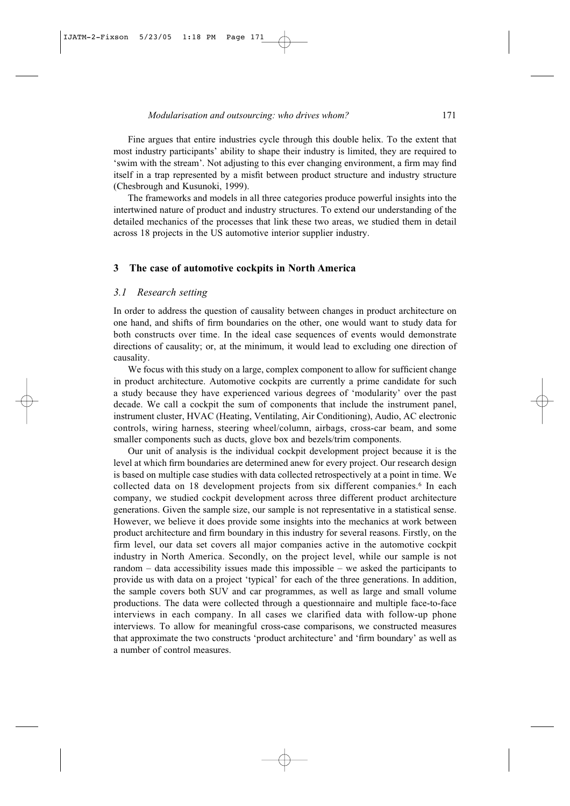Fine argues that entire industries cycle through this double helix. To the extent that most industry participants' ability to shape their industry is limited, they are required to 'swim with the stream'. Not adjusting to this ever changing environment, a firm may find itself in a trap represented by a misfit between product structure and industry structure (Chesbrough and Kusunoki, 1999).

The frameworks and models in all three categories produce powerful insights into the intertwined nature of product and industry structures. To extend our understanding of the detailed mechanics of the processes that link these two areas, we studied them in detail across 18 projects in the US automotive interior supplier industry.

#### **3 The case of automotive cockpits in North America**

#### *3.1 Research setting*

In order to address the question of causality between changes in product architecture on one hand, and shifts of firm boundaries on the other, one would want to study data for both constructs over time. In the ideal case sequences of events would demonstrate directions of causality; or, at the minimum, it would lead to excluding one direction of causality.

We focus with this study on a large, complex component to allow for sufficient change in product architecture. Automotive cockpits are currently a prime candidate for such a study because they have experienced various degrees of 'modularity' over the past decade. We call a cockpit the sum of components that include the instrument panel, instrument cluster, HVAC (Heating, Ventilating, Air Conditioning), Audio, AC electronic controls, wiring harness, steering wheel/column, airbags, cross-car beam, and some smaller components such as ducts, glove box and bezels/trim components.

Our unit of analysis is the individual cockpit development project because it is the level at which firm boundaries are determined anew for every project. Our research design is based on multiple case studies with data collected retrospectively at a point in time. We collected data on 18 development projects from six different companies.<sup>6</sup> In each company, we studied cockpit development across three different product architecture generations. Given the sample size, our sample is not representative in a statistical sense. However, we believe it does provide some insights into the mechanics at work between product architecture and firm boundary in this industry for several reasons. Firstly, on the firm level, our data set covers all major companies active in the automotive cockpit industry in North America. Secondly, on the project level, while our sample is not random – data accessibility issues made this impossible – we asked the participants to provide us with data on a project 'typical' for each of the three generations. In addition, the sample covers both SUV and car programmes, as well as large and small volume productions. The data were collected through a questionnaire and multiple face-to-face interviews in each company. In all cases we clarified data with follow-up phone interviews. To allow for meaningful cross-case comparisons, we constructed measures that approximate the two constructs 'product architecture' and 'firm boundary' as well as a number of control measures.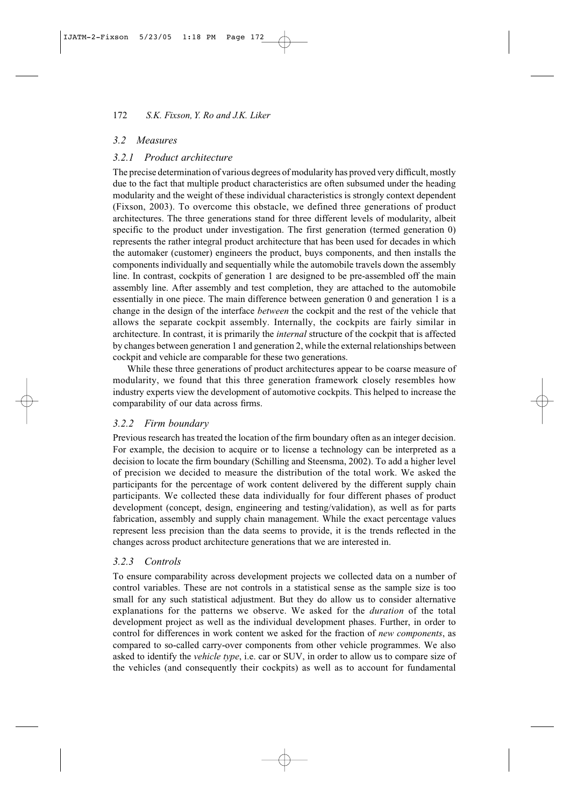#### *3.2 Measures*

#### *3.2.1 Product architecture*

The precise determination of various degrees of modularity has proved very difficult, mostly due to the fact that multiple product characteristics are often subsumed under the heading modularity and the weight of these individual characteristics is strongly context dependent (Fixson, 2003). To overcome this obstacle, we defined three generations of product architectures. The three generations stand for three different levels of modularity, albeit specific to the product under investigation. The first generation (termed generation 0) represents the rather integral product architecture that has been used for decades in which the automaker (customer) engineers the product, buys components, and then installs the components individually and sequentially while the automobile travels down the assembly line. In contrast, cockpits of generation 1 are designed to be pre-assembled off the main assembly line. After assembly and test completion, they are attached to the automobile essentially in one piece. The main difference between generation 0 and generation 1 is a change in the design of the interface *between* the cockpit and the rest of the vehicle that allows the separate cockpit assembly. Internally, the cockpits are fairly similar in architecture. In contrast, it is primarily the *internal* structure of the cockpit that is affected by changes between generation 1 and generation 2, while the external relationships between cockpit and vehicle are comparable for these two generations.

While these three generations of product architectures appear to be coarse measure of modularity, we found that this three generation framework closely resembles how industry experts view the development of automotive cockpits. This helped to increase the comparability of our data across firms.

#### *3.2.2 Firm boundary*

Previous research has treated the location of the firm boundary often as an integer decision. For example, the decision to acquire or to license a technology can be interpreted as a decision to locate the firm boundary (Schilling and Steensma, 2002). To add a higher level of precision we decided to measure the distribution of the total work. We asked the participants for the percentage of work content delivered by the different supply chain participants. We collected these data individually for four different phases of product development (concept, design, engineering and testing/validation), as well as for parts fabrication, assembly and supply chain management. While the exact percentage values represent less precision than the data seems to provide, it is the trends reflected in the changes across product architecture generations that we are interested in.

#### *3.2.3 Controls*

To ensure comparability across development projects we collected data on a number of control variables. These are not controls in a statistical sense as the sample size is too small for any such statistical adjustment. But they do allow us to consider alternative explanations for the patterns we observe. We asked for the *duration* of the total development project as well as the individual development phases. Further, in order to control for differences in work content we asked for the fraction of *new components*, as compared to so-called carry-over components from other vehicle programmes. We also asked to identify the *vehicle type*, i.e. car or SUV, in order to allow us to compare size of the vehicles (and consequently their cockpits) as well as to account for fundamental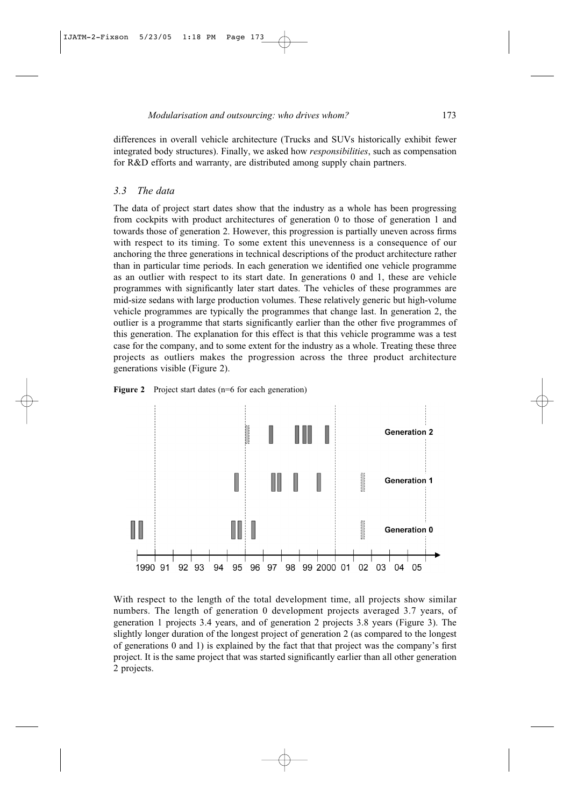differences in overall vehicle architecture (Trucks and SUVs historically exhibit fewer integrated body structures). Finally, we asked how *responsibilities*, such as compensation for R&D efforts and warranty, are distributed among supply chain partners.

#### *3.3 The data*

The data of project start dates show that the industry as a whole has been progressing from cockpits with product architectures of generation 0 to those of generation 1 and towards those of generation 2. However, this progression is partially uneven across firms with respect to its timing. To some extent this unevenness is a consequence of our anchoring the three generations in technical descriptions of the product architecture rather than in particular time periods. In each generation we identified one vehicle programme as an outlier with respect to its start date. In generations 0 and 1, these are vehicle programmes with significantly later start dates. The vehicles of these programmes are mid-size sedans with large production volumes. These relatively generic but high-volume vehicle programmes are typically the programmes that change last. In generation 2, the outlier is a programme that starts significantly earlier than the other five programmes of this generation. The explanation for this effect is that this vehicle programme was a test case for the company, and to some extent for the industry as a whole. Treating these three projects as outliers makes the progression across the three product architecture generations visible (Figure 2).

#### Figure 2 Project start dates (n=6 for each generation)



With respect to the length of the total development time, all projects show similar numbers. The length of generation 0 development projects averaged 3.7 years, of generation 1 projects 3.4 years, and of generation 2 projects 3.8 years (Figure 3). The slightly longer duration of the longest project of generation 2 (as compared to the longest of generations 0 and 1) is explained by the fact that that project was the company's first project. It is the same project that was started significantly earlier than all other generation 2 projects.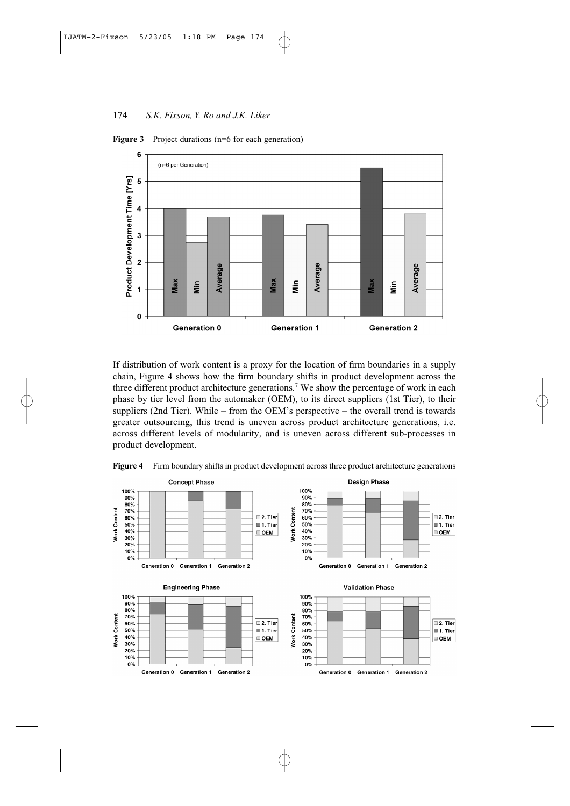



**Figure 3** Project durations (n=6 for each generation)

If distribution of work content is a proxy for the location of firm boundaries in a supply chain, Figure 4 shows how the firm boundary shifts in product development across the three different product architecture generations.<sup>7</sup> We show the percentage of work in each phase by tier level from the automaker (OEM), to its direct suppliers (1st Tier), to their suppliers (2nd Tier). While – from the OEM's perspective – the overall trend is towards greater outsourcing, this trend is uneven across product architecture generations, i.e. across different levels of modularity, and is uneven across different sub-processes in product development.



Figure 4 Firm boundary shifts in product development across three product architecture generations

Generation 0 Generation 1 Generation 2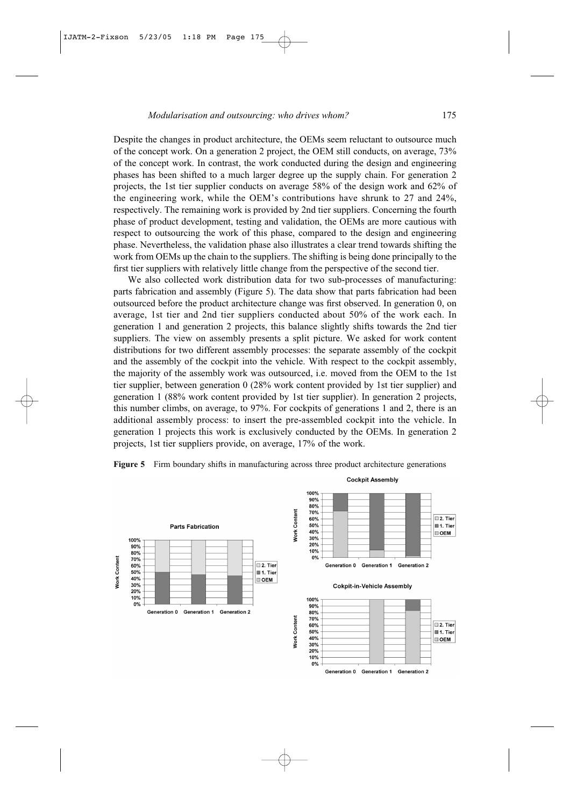Despite the changes in product architecture, the OEMs seem reluctant to outsource much of the concept work. On a generation 2 project, the OEM still conducts, on average, 73% of the concept work. In contrast, the work conducted during the design and engineering phases has been shifted to a much larger degree up the supply chain. For generation 2 projects, the 1st tier supplier conducts on average 58% of the design work and 62% of the engineering work, while the OEM's contributions have shrunk to 27 and 24%, respectively. The remaining work is provided by 2nd tier suppliers. Concerning the fourth phase of product development, testing and validation, the OEMs are more cautious with respect to outsourcing the work of this phase, compared to the design and engineering phase. Nevertheless, the validation phase also illustrates a clear trend towards shifting the work from OEMs up the chain to the suppliers. The shifting is being done principally to the first tier suppliers with relatively little change from the perspective of the second tier.

We also collected work distribution data for two sub-processes of manufacturing: parts fabrication and assembly (Figure 5). The data show that parts fabrication had been outsourced before the product architecture change was first observed. In generation 0, on average, 1st tier and 2nd tier suppliers conducted about 50% of the work each. In generation 1 and generation 2 projects, this balance slightly shifts towards the 2nd tier suppliers. The view on assembly presents a split picture. We asked for work content distributions for two different assembly processes: the separate assembly of the cockpit and the assembly of the cockpit into the vehicle. With respect to the cockpit assembly, the majority of the assembly work was outsourced, i.e. moved from the OEM to the 1st tier supplier, between generation 0 (28% work content provided by 1st tier supplier) and generation 1 (88% work content provided by 1st tier supplier). In generation 2 projects, this number climbs, on average, to 97%. For cockpits of generations 1 and 2, there is an additional assembly process: to insert the pre-assembled cockpit into the vehicle. In generation 1 projects this work is exclusively conducted by the OEMs. In generation 2 projects, 1st tier suppliers provide, on average, 17% of the work.







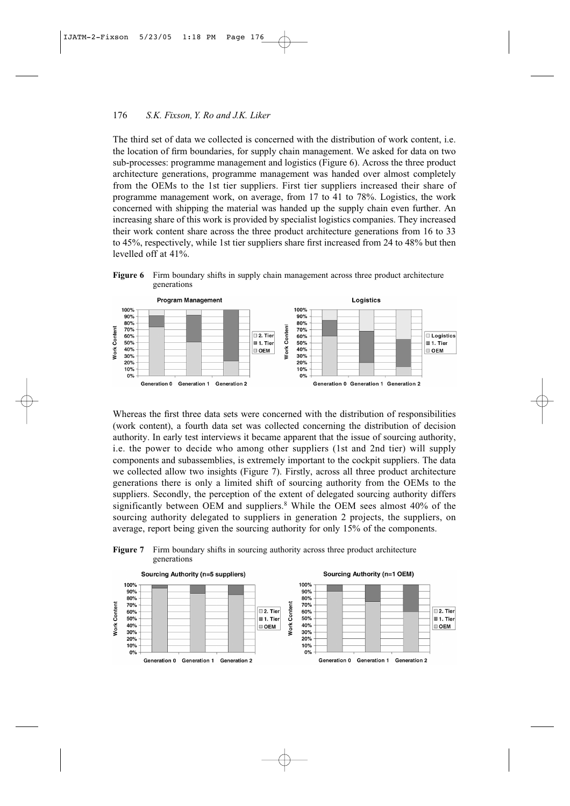The third set of data we collected is concerned with the distribution of work content, i.e. the location of firm boundaries, for supply chain management. We asked for data on two sub-processes: programme management and logistics (Figure 6). Across the three product architecture generations, programme management was handed over almost completely from the OEMs to the 1st tier suppliers. First tier suppliers increased their share of programme management work, on average, from 17 to 41 to 78%. Logistics, the work concerned with shipping the material was handed up the supply chain even further. An increasing share of this work is provided by specialist logistics companies. They increased their work content share across the three product architecture generations from 16 to 33 to 45%, respectively, while 1st tier suppliers share first increased from 24 to 48% but then levelled off at 41%.





Whereas the first three data sets were concerned with the distribution of responsibilities (work content), a fourth data set was collected concerning the distribution of decision authority. In early test interviews it became apparent that the issue of sourcing authority, i.e. the power to decide who among other suppliers (1st and 2nd tier) will supply components and subassemblies, is extremely important to the cockpit suppliers. The data we collected allow two insights (Figure 7). Firstly, across all three product architecture generations there is only a limited shift of sourcing authority from the OEMs to the suppliers. Secondly, the perception of the extent of delegated sourcing authority differs significantly between OEM and suppliers.<sup>8</sup> While the OEM sees almost 40% of the sourcing authority delegated to suppliers in generation 2 projects, the suppliers, on average, report being given the sourcing authority for only 15% of the components.

#### generations Sourcing Authority (n=5 suppliers) Sourcing Authority (n=1 OEM) 100% 100% 90% 90% 80% 80%

Figure 7 Firm boundary shifts in sourcing authority across three product architecture

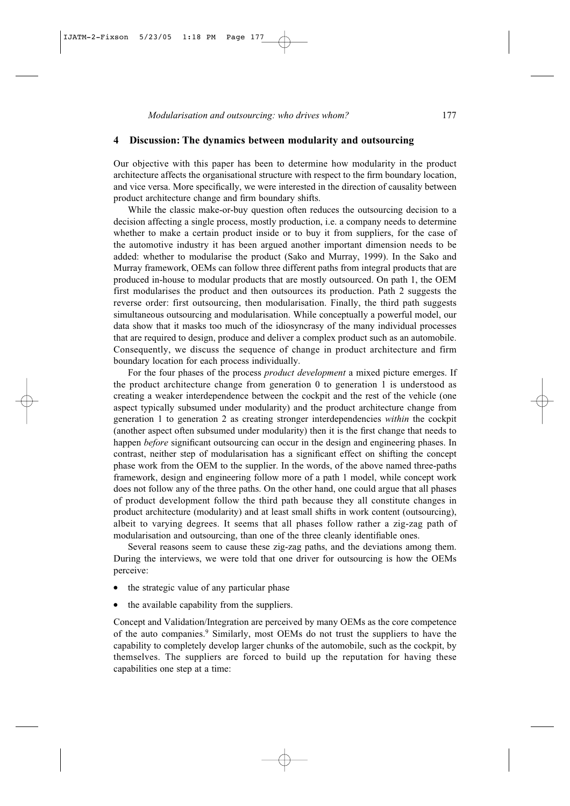### **4 Discussion: The dynamics between modularity and outsourcing**

Our objective with this paper has been to determine how modularity in the product architecture affects the organisational structure with respect to the firm boundary location, and vice versa. More specifically, we were interested in the direction of causality between product architecture change and firm boundary shifts.

While the classic make-or-buy question often reduces the outsourcing decision to a decision affecting a single process, mostly production, i.e. a company needs to determine whether to make a certain product inside or to buy it from suppliers, for the case of the automotive industry it has been argued another important dimension needs to be added: whether to modularise the product (Sako and Murray, 1999). In the Sako and Murray framework, OEMs can follow three different paths from integral products that are produced in-house to modular products that are mostly outsourced. On path 1, the OEM first modularises the product and then outsources its production. Path 2 suggests the reverse order: first outsourcing, then modularisation. Finally, the third path suggests simultaneous outsourcing and modularisation. While conceptually a powerful model, our data show that it masks too much of the idiosyncrasy of the many individual processes that are required to design, produce and deliver a complex product such as an automobile. Consequently, we discuss the sequence of change in product architecture and firm boundary location for each process individually.

For the four phases of the process *product development* a mixed picture emerges. If the product architecture change from generation 0 to generation 1 is understood as creating a weaker interdependence between the cockpit and the rest of the vehicle (one aspect typically subsumed under modularity) and the product architecture change from generation 1 to generation 2 as creating stronger interdependencies *within* the cockpit (another aspect often subsumed under modularity) then it is the first change that needs to happen *before* significant outsourcing can occur in the design and engineering phases. In contrast, neither step of modularisation has a significant effect on shifting the concept phase work from the OEM to the supplier. In the words, of the above named three-paths framework, design and engineering follow more of a path 1 model, while concept work does not follow any of the three paths. On the other hand, one could argue that all phases of product development follow the third path because they all constitute changes in product architecture (modularity) and at least small shifts in work content (outsourcing), albeit to varying degrees. It seems that all phases follow rather a zig-zag path of modularisation and outsourcing, than one of the three cleanly identifiable ones.

Several reasons seem to cause these zig-zag paths, and the deviations among them. During the interviews, we were told that one driver for outsourcing is how the OEMs perceive:

- $\bullet$ the strategic value of any particular phase
- $\bullet$ the available capability from the suppliers.

Concept and Validation/Integration are perceived by many OEMs as the core competence of the auto companies.9 Similarly, most OEMs do not trust the suppliers to have the capability to completely develop larger chunks of the automobile, such as the cockpit, by themselves. The suppliers are forced to build up the reputation for having these capabilities one step at a time: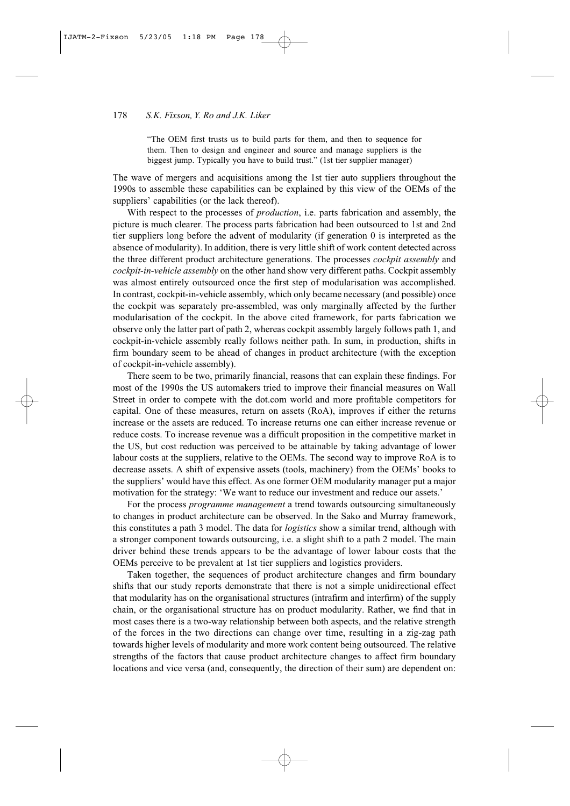"The OEM first trusts us to build parts for them, and then to sequence for them. Then to design and engineer and source and manage suppliers is the biggest jump. Typically you have to build trust." (1st tier supplier manager)

The wave of mergers and acquisitions among the 1st tier auto suppliers throughout the 1990s to assemble these capabilities can be explained by this view of the OEMs of the suppliers' capabilities (or the lack thereof).

With respect to the processes of *production*, i.e. parts fabrication and assembly, the picture is much clearer. The process parts fabrication had been outsourced to 1st and 2nd tier suppliers long before the advent of modularity (if generation 0 is interpreted as the absence of modularity). In addition, there is very little shift of work content detected across the three different product architecture generations. The processes *cockpit assembly* and *cockpit-in-vehicle assembly* on the other hand show very different paths. Cockpit assembly was almost entirely outsourced once the first step of modularisation was accomplished. In contrast, cockpit-in-vehicle assembly, which only became necessary (and possible) once the cockpit was separately pre-assembled, was only marginally affected by the further modularisation of the cockpit. In the above cited framework, for parts fabrication we observe only the latter part of path 2, whereas cockpit assembly largely follows path 1, and cockpit-in-vehicle assembly really follows neither path. In sum, in production, shifts in firm boundary seem to be ahead of changes in product architecture (with the exception of cockpit-in-vehicle assembly).

There seem to be two, primarily financial, reasons that can explain these findings. For most of the 1990s the US automakers tried to improve their financial measures on Wall Street in order to compete with the dot.com world and more profitable competitors for capital. One of these measures, return on assets (RoA), improves if either the returns increase or the assets are reduced. To increase returns one can either increase revenue or reduce costs. To increase revenue was a difficult proposition in the competitive market in the US, but cost reduction was perceived to be attainable by taking advantage of lower labour costs at the suppliers, relative to the OEMs. The second way to improve RoA is to decrease assets. A shift of expensive assets (tools, machinery) from the OEMs' books to the suppliers' would have this effect. As one former OEM modularity manager put a major motivation for the strategy: 'We want to reduce our investment and reduce our assets.'

For the process *programme management* a trend towards outsourcing simultaneously to changes in product architecture can be observed. In the Sako and Murray framework, this constitutes a path 3 model. The data for *logistics* show a similar trend, although with a stronger component towards outsourcing, i.e. a slight shift to a path 2 model. The main driver behind these trends appears to be the advantage of lower labour costs that the OEMs perceive to be prevalent at 1st tier suppliers and logistics providers.

Taken together, the sequences of product architecture changes and firm boundary shifts that our study reports demonstrate that there is not a simple unidirectional effect that modularity has on the organisational structures (intrafirm and interfirm) of the supply chain, or the organisational structure has on product modularity. Rather, we find that in most cases there is a two-way relationship between both aspects, and the relative strength of the forces in the two directions can change over time, resulting in a zig-zag path towards higher levels of modularity and more work content being outsourced. The relative strengths of the factors that cause product architecture changes to affect firm boundary locations and vice versa (and, consequently, the direction of their sum) are dependent on: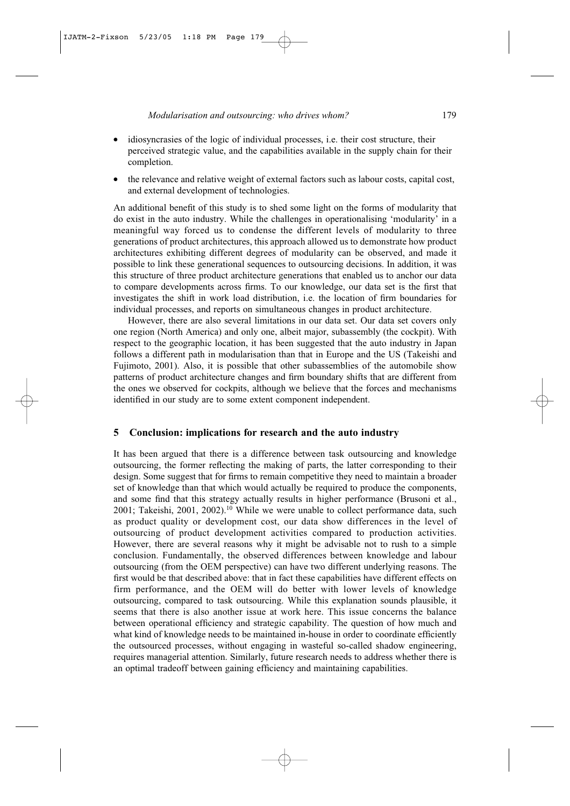- $\bullet$  idiosyncrasies of the logic of individual processes, i.e. their cost structure, their perceived strategic value, and the capabilities available in the supply chain for their completion.
- $\bullet$  the relevance and relative weight of external factors such as labour costs, capital cost, and external development of technologies.

An additional benefit of this study is to shed some light on the forms of modularity that do exist in the auto industry. While the challenges in operationalising 'modularity' in a meaningful way forced us to condense the different levels of modularity to three generations of product architectures, this approach allowed us to demonstrate how product architectures exhibiting different degrees of modularity can be observed, and made it possible to link these generational sequences to outsourcing decisions. In addition, it was this structure of three product architecture generations that enabled us to anchor our data to compare developments across firms. To our knowledge, our data set is the first that investigates the shift in work load distribution, i.e. the location of firm boundaries for individual processes, and reports on simultaneous changes in product architecture.

However, there are also several limitations in our data set. Our data set covers only one region (North America) and only one, albeit major, subassembly (the cockpit). With respect to the geographic location, it has been suggested that the auto industry in Japan follows a different path in modularisation than that in Europe and the US (Takeishi and Fujimoto, 2001). Also, it is possible that other subassemblies of the automobile show patterns of product architecture changes and firm boundary shifts that are different from the ones we observed for cockpits, although we believe that the forces and mechanisms identified in our study are to some extent component independent.

#### **5 Conclusion: implications for research and the auto industry**

It has been argued that there is a difference between task outsourcing and knowledge outsourcing, the former reflecting the making of parts, the latter corresponding to their design. Some suggest that for firms to remain competitive they need to maintain a broader set of knowledge than that which would actually be required to produce the components, and some find that this strategy actually results in higher performance (Brusoni et al., 2001; Takeishi, 2001, 2002).<sup>10</sup> While we were unable to collect performance data, such as product quality or development cost, our data show differences in the level of outsourcing of product development activities compared to production activities. However, there are several reasons why it might be advisable not to rush to a simple conclusion. Fundamentally, the observed differences between knowledge and labour outsourcing (from the OEM perspective) can have two different underlying reasons. The first would be that described above: that in fact these capabilities have different effects on firm performance, and the OEM will do better with lower levels of knowledge outsourcing, compared to task outsourcing. While this explanation sounds plausible, it seems that there is also another issue at work here. This issue concerns the balance between operational efficiency and strategic capability. The question of how much and what kind of knowledge needs to be maintained in-house in order to coordinate efficiently the outsourced processes, without engaging in wasteful so-called shadow engineering, requires managerial attention. Similarly, future research needs to address whether there is an optimal tradeoff between gaining efficiency and maintaining capabilities.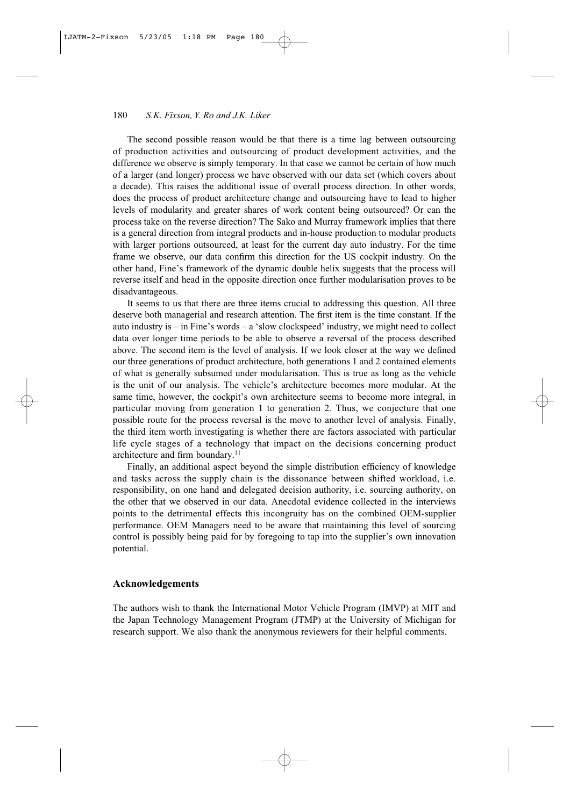The second possible reason would be that there is a time lag between outsourcing of production activities and outsourcing of product development activities, and the difference we observe is simply temporary. In that case we cannot be certain of how much of a larger (and longer) process we have observed with our data set (which covers about a decade). This raises the additional issue of overall process direction. In other words, does the process of product architecture change and outsourcing have to lead to higher levels of modularity and greater shares of work content being outsourced? Or can the process take on the reverse direction? The Sako and Murray framework implies that there is a general direction from integral products and in-house production to modular products with larger portions outsourced, at least for the current day auto industry. For the time frame we observe, our data confirm this direction for the US cockpit industry. On the other hand, Fine's framework of the dynamic double helix suggests that the process will reverse itself and head in the opposite direction once further modularisation proves to be disadvantageous.

It seems to us that there are three items crucial to addressing this question. All three deserve both managerial and research attention. The first item is the time constant. If the auto industry is – in Fine's words – a 'slow clockspeed' industry, we might need to collect data over longer time periods to be able to observe a reversal of the process described above. The second item is the level of analysis. If we look closer at the way we defined our three generations of product architecture, both generations 1 and 2 contained elements of what is generally subsumed under modularisation. This is true as long as the vehicle is the unit of our analysis. The vehicle's architecture becomes more modular. At the same time, however, the cockpit's own architecture seems to become more integral, in particular moving from generation 1 to generation 2. Thus, we conjecture that one possible route for the process reversal is the move to another level of analysis. Finally, the third item worth investigating is whether there are factors associated with particular life cycle stages of a technology that impact on the decisions concerning product architecture and firm boundary.<sup>11</sup>

Finally, an additional aspect beyond the simple distribution efficiency of knowledge and tasks across the supply chain is the dissonance between shifted workload, i.e. responsibility, on one hand and delegated decision authority, i.e. sourcing authority, on the other that we observed in our data. Anecdotal evidence collected in the interviews points to the detrimental effects this incongruity has on the combined OEM-supplier performance. OEM Managers need to be aware that maintaining this level of sourcing control is possibly being paid for by foregoing to tap into the supplier's own innovation potential.

#### **Acknowledgements**

The authors wish to thank the International Motor Vehicle Program (IMVP) at MIT and the Japan Technology Management Program (JTMP) at the University of Michigan for research support. We also thank the anonymous reviewers for their helpful comments.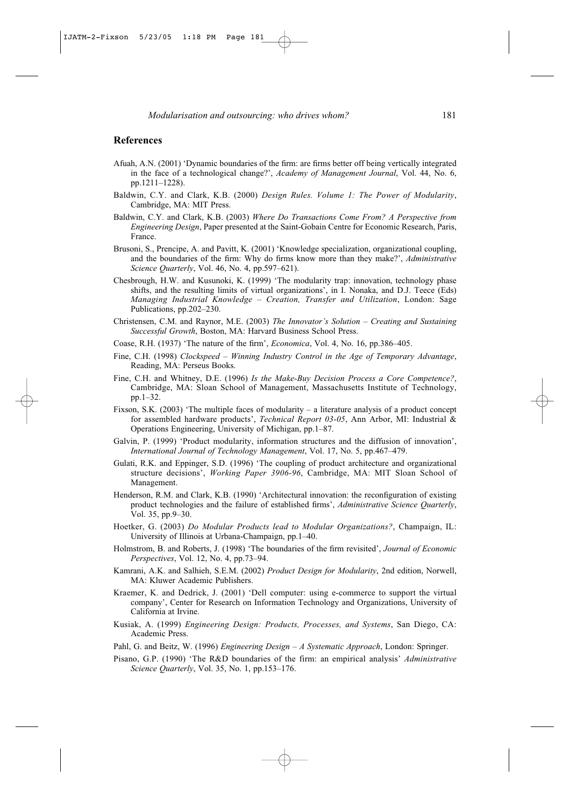#### **References**

- Afuah, A.N. (2001) 'Dynamic boundaries of the firm: are firms better off being vertically integrated in the face of a technological change?', *Academy of Management Journal*, Vol. 44, No. 6, pp.1211–1228).
- Baldwin, C.Y. and Clark, K.B. (2000) *Design Rules. Volume 1: The Power of Modularity*, Cambridge, MA: MIT Press.
- Baldwin, C.Y. and Clark, K.B. (2003) *Where Do Transactions Come From? A Perspective from Engineering Design*, Paper presented at the Saint-Gobain Centre for Economic Research, Paris, France.
- Brusoni, S., Prencipe, A. and Pavitt, K. (2001) 'Knowledge specialization, organizational coupling, and the boundaries of the firm: Why do firms know more than they make?', *Administrative Science Quarterly*, Vol. 46, No. 4, pp.597–621).
- Chesbrough, H.W. and Kusunoki, K. (1999) 'The modularity trap: innovation, technology phase shifts, and the resulting limits of virtual organizations', in I. Nonaka, and D.J. Teece (Eds) *Managing Industrial Knowledge – Creation, Transfer and Utilization*, London: Sage Publications, pp.202–230.
- Christensen, C.M. and Raynor, M.E. (2003) *The Innovator's Solution Creating and Sustaining Successful Growth*, Boston, MA: Harvard Business School Press.
- Coase, R.H. (1937) 'The nature of the firm', *Economica*, Vol. 4, No. 16, pp.386–405.
- Fine, C.H. (1998) *Clockspeed Winning Industry Control in the Age of Temporary Advantage*, Reading, MA: Perseus Books.
- Fine, C.H. and Whitney, D.E. (1996) *Is the Make-Buy Decision Process a Core Competence?*, Cambridge, MA: Sloan School of Management, Massachusetts Institute of Technology, pp.1–32.
- Fixson, S.K. (2003) 'The multiple faces of modularity a literature analysis of a product concept for assembled hardware products', *Technical Report 03-05*, Ann Arbor, MI: Industrial & Operations Engineering, University of Michigan, pp.1–87.
- Galvin, P. (1999) 'Product modularity, information structures and the diffusion of innovation', *International Journal of Technology Management*, Vol. 17, No. 5, pp.467–479.
- Gulati, R.K. and Eppinger, S.D. (1996) 'The coupling of product architecture and organizational structure decisions', *Working Paper 3906-96*, Cambridge, MA: MIT Sloan School of Management.
- Henderson, R.M. and Clark, K.B. (1990) 'Architectural innovation: the reconfiguration of existing product technologies and the failure of established firms', *Administrative Science Quarterly*, Vol. 35, pp.9–30.
- Hoetker, G. (2003) *Do Modular Products lead to Modular Organizations?*, Champaign, IL: University of Illinois at Urbana-Champaign, pp.1–40.
- Holmstrom, B. and Roberts, J. (1998) 'The boundaries of the firm revisited', *Journal of Economic Perspectives*, Vol. 12, No. 4, pp.73–94.
- Kamrani, A.K. and Salhieh, S.E.M. (2002) *Product Design for Modularity*, 2nd edition, Norwell, MA: Kluwer Academic Publishers.
- Kraemer, K. and Dedrick, J. (2001) 'Dell computer: using e-commerce to support the virtual company', Center for Research on Information Technology and Organizations, University of California at Irvine.
- Kusiak, A. (1999) *Engineering Design: Products, Processes, and Systems*, San Diego, CA: Academic Press.
- Pahl, G. and Beitz, W. (1996) *Engineering Design A Systematic Approach*, London: Springer.
- Pisano, G.P. (1990) 'The R&D boundaries of the firm: an empirical analysis' *Administrative Science Quarterly*, Vol. 35, No. 1, pp.153–176.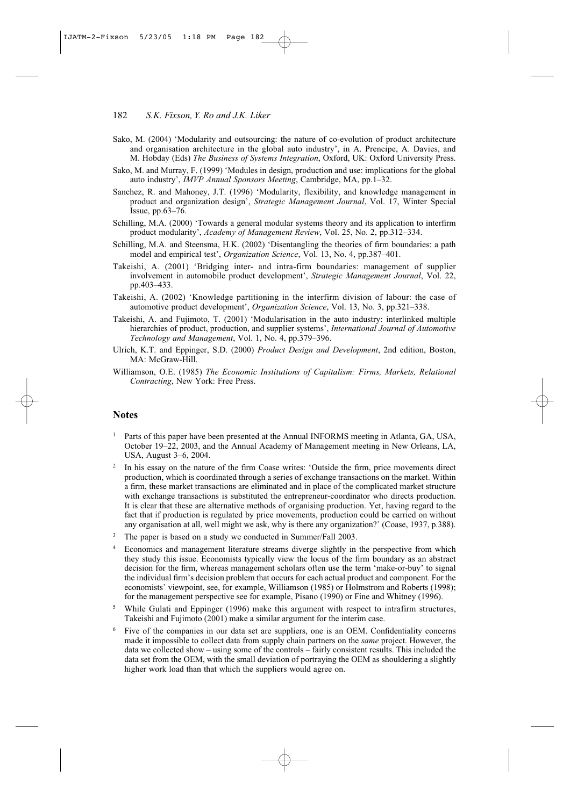- Sako, M. (2004) 'Modularity and outsourcing: the nature of co-evolution of product architecture and organisation architecture in the global auto industry', in A. Prencipe, A. Davies, and M. Hobday (Eds) *The Business of Systems Integration*, Oxford, UK: Oxford University Press.
- Sako, M. and Murray, F. (1999) 'Modules in design, production and use: implications for the global auto industry', *IMVP Annual Sponsors Meeting*, Cambridge, MA, pp.1–32.
- Sanchez, R. and Mahoney, J.T. (1996) 'Modularity, flexibility, and knowledge management in product and organization design', *Strategic Management Journal*, Vol. 17, Winter Special Issue, pp.63–76.
- Schilling, M.A. (2000) 'Towards a general modular systems theory and its application to interfirm product modularity', *Academy of Management Review*, Vol. 25, No. 2, pp.312–334.
- Schilling, M.A. and Steensma, H.K. (2002) 'Disentangling the theories of firm boundaries: a path model and empirical test', *Organization Science*, Vol. 13, No. 4, pp.387–401.
- Takeishi, A. (2001) 'Bridging inter- and intra-firm boundaries: management of supplier involvement in automobile product development', *Strategic Management Journal*, Vol. 22, pp.403–433.
- Takeishi, A. (2002) 'Knowledge partitioning in the interfirm division of labour: the case of automotive product development', *Organization Science*, Vol. 13, No. 3, pp.321–338.
- Takeishi, A. and Fujimoto, T. (2001) 'Modularisation in the auto industry: interlinked multiple hierarchies of product, production, and supplier systems', *International Journal of Automotive Technology and Management*, Vol. 1, No. 4, pp.379–396.
- Ulrich, K.T. and Eppinger, S.D. (2000) *Product Design and Development*, 2nd edition, Boston, MA: McGraw-Hill.
- Williamson, O.E. (1985) *The Economic Institutions of Capitalism: Firms, Markets, Relational Contracting*, New York: Free Press.

#### **Notes**

- <sup>1</sup> Parts of this paper have been presented at the Annual INFORMS meeting in Atlanta, GA, USA, October 19–22, 2003, and the Annual Academy of Management meeting in New Orleans, LA, USA, August 3–6, 2004.
- <sup>2</sup> In his essay on the nature of the firm Coase writes: 'Outside the firm, price movements direct production, which is coordinated through a series of exchange transactions on the market. Within a firm, these market transactions are eliminated and in place of the complicated market structure with exchange transactions is substituted the entrepreneur-coordinator who directs production. It is clear that these are alternative methods of organising production. Yet, having regard to the fact that if production is regulated by price movements, production could be carried on without any organisation at all, well might we ask, why is there any organization?' (Coase, 1937, p.388).
- The paper is based on a study we conducted in Summer/Fall 2003.
- Economics and management literature streams diverge slightly in the perspective from which they study this issue. Economists typically view the locus of the firm boundary as an abstract decision for the firm, whereas management scholars often use the term 'make-or-buy' to signal the individual firm's decision problem that occurs for each actual product and component. For the economists' viewpoint, see, for example, Williamson (1985) or Holmstrom and Roberts (1998); for the management perspective see for example, Pisano (1990) or Fine and Whitney (1996).
- <sup>5</sup> While Gulati and Eppinger (1996) make this argument with respect to intrafirm structures, Takeishi and Fujimoto (2001) make a similar argument for the interim case.
- Five of the companies in our data set are suppliers, one is an OEM. Confidentiality concerns made it impossible to collect data from supply chain partners on the *same* project. However, the data we collected show – using some of the controls – fairly consistent results. This included the data set from the OEM, with the small deviation of portraying the OEM as shouldering a slightly higher work load than that which the suppliers would agree on.